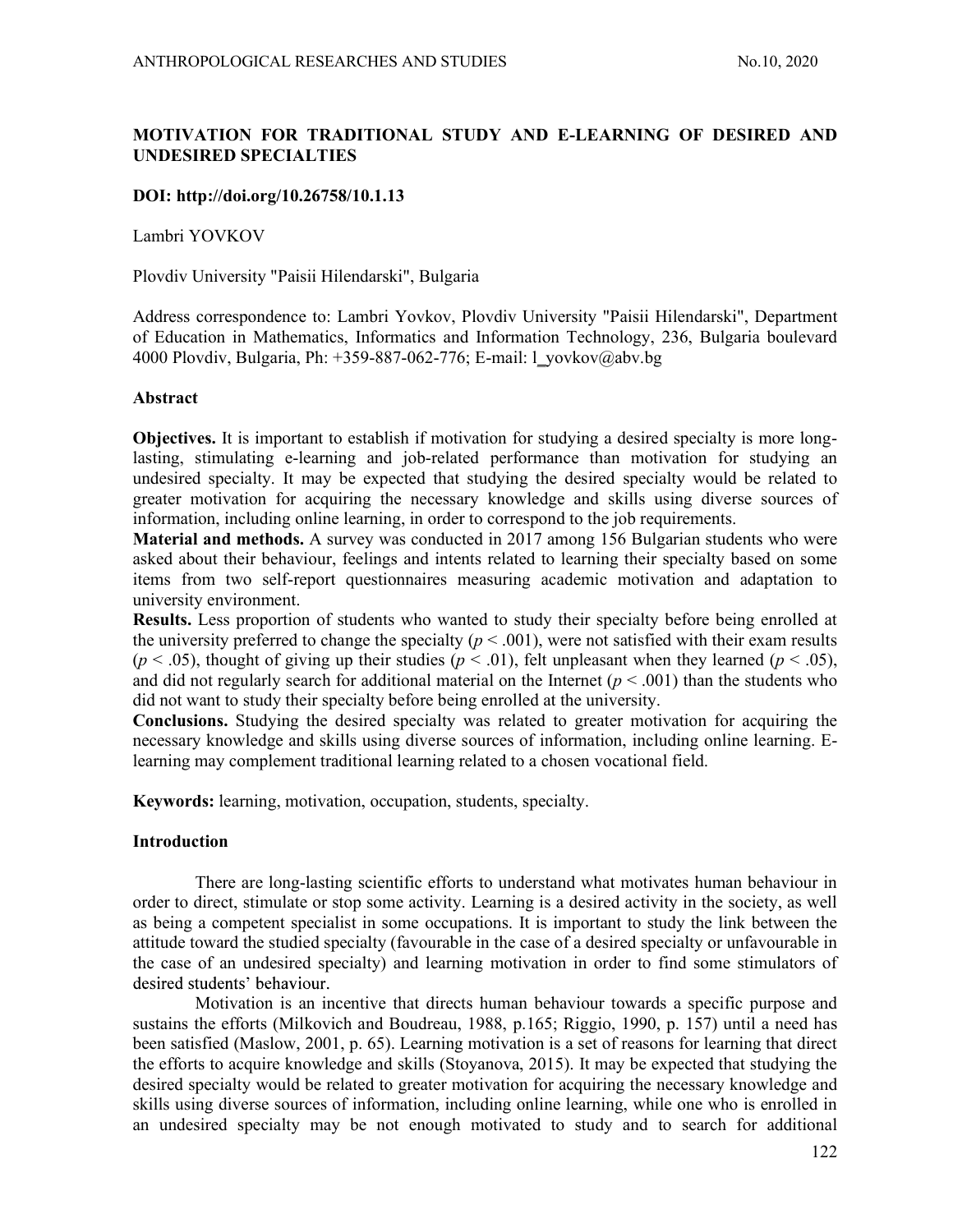# MOTIVATION FOR TRADITIONAL STUDY AND E-LEARNING OF DESIRED AND UNDESIRED SPECIALTIES

# DOI: http://doi.org/10.26758/10.1.13

Lambri YOVKOV

Plovdiv University "Paisii Hilendarski", Bulgaria

Address correspondence to: Lambri Yovkov, Plovdiv University "Paisii Hilendarski", Department of Education in Mathematics, Informatics and Information Technology, 236, Bulgaria boulevard 4000 Plovdiv, Bulgaria, Ph: +359-887-062-776; E-mail: l\_yovkov@abv.bg

### Abstract

Objectives. It is important to establish if motivation for studying a desired specialty is more longlasting, stimulating e-learning and job-related performance than motivation for studying an undesired specialty. It may be expected that studying the desired specialty would be related to greater motivation for acquiring the necessary knowledge and skills using diverse sources of information, including online learning, in order to correspond to the job requirements.

Material and methods. A survey was conducted in 2017 among 156 Bulgarian students who were asked about their behaviour, feelings and intents related to learning their specialty based on some items from two self-report questionnaires measuring academic motivation and adaptation to university environment.

Results. Less proportion of students who wanted to study their specialty before being enrolled at the university preferred to change the specialty ( $p < .001$ ), were not satisfied with their exam results ( $p < .05$ ), thought of giving up their studies ( $p < .01$ ), felt unpleasant when they learned ( $p < .05$ ), and did not regularly search for additional material on the Internet ( $p < .001$ ) than the students who did not want to study their specialty before being enrolled at the university.

Conclusions. Studying the desired specialty was related to greater motivation for acquiring the necessary knowledge and skills using diverse sources of information, including online learning. Elearning may complement traditional learning related to a chosen vocational field.

Keywords: learning, motivation, occupation, students, specialty.

### Introduction

There are long-lasting scientific efforts to understand what motivates human behaviour in order to direct, stimulate or stop some activity. Learning is a desired activity in the society, as well as being a competent specialist in some occupations. It is important to study the link between the attitude toward the studied specialty (favourable in the case of a desired specialty or unfavourable in the case of an undesired specialty) and learning motivation in order to find some stimulators of desired students' behaviour.

Motivation is an incentive that directs human behaviour towards a specific purpose and sustains the efforts (Milkovich and Boudreau, 1988, p.165; Riggio, 1990, p. 157) until a need has been satisfied (Maslow, 2001, p. 65). Learning motivation is a set of reasons for learning that direct the efforts to acquire knowledge and skills (Stoyanova, 2015). It may be expected that studying the desired specialty would be related to greater motivation for acquiring the necessary knowledge and skills using diverse sources of information, including online learning, while one who is enrolled in an undesired specialty may be not enough motivated to study and to search for additional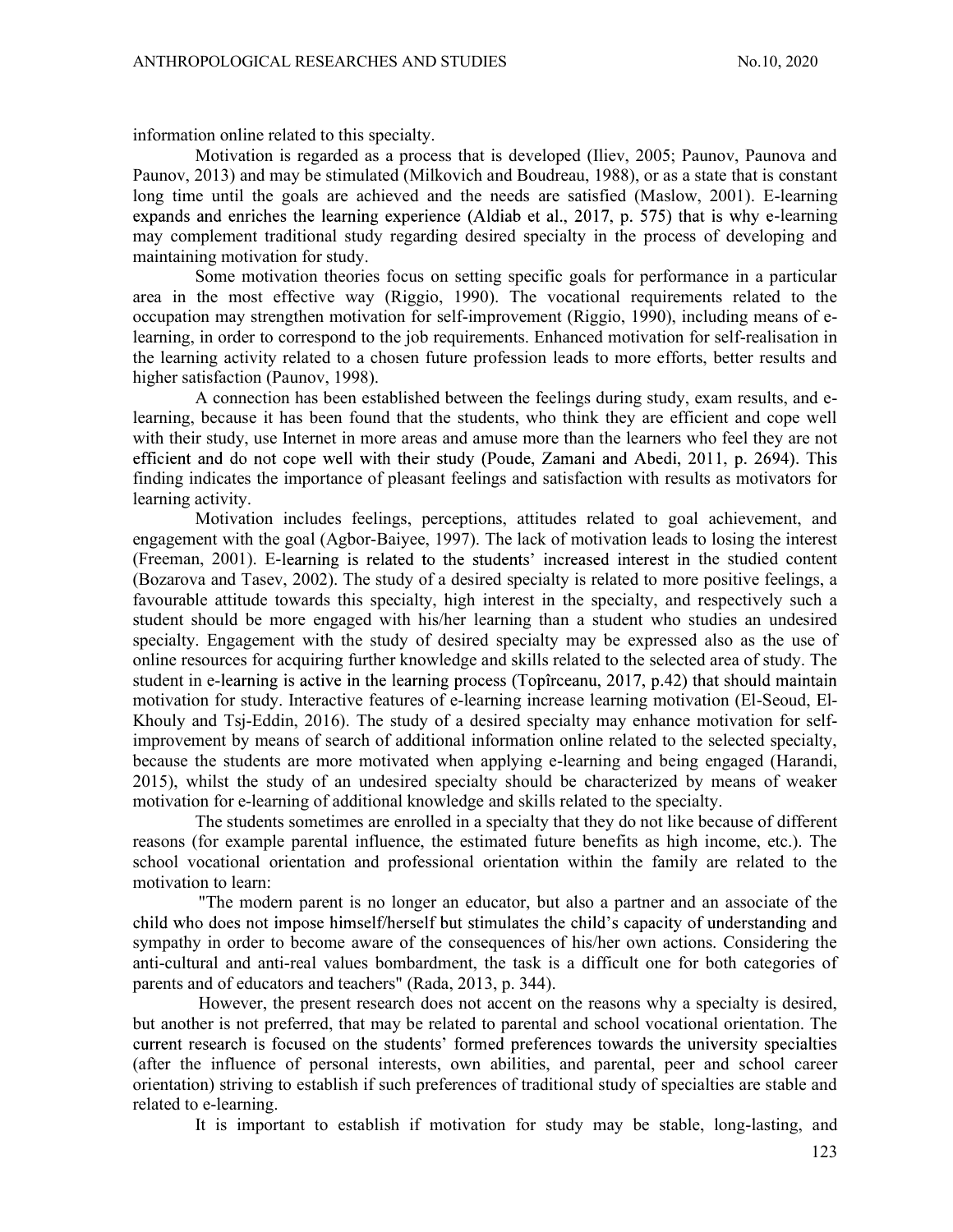information online related to this specialty.

Motivation is regarded as a process that is developed (Iliev, 2005; Paunov, Paunova and Paunov, 2013) and may be stimulated (Milkovich and Boudreau, 1988), or as a state that is constant long time until the goals are achieved and the needs are satisfied (Maslow, 2001). E-learning expands and enriches the learning experience (Aldiab et al., 2017, p. 575) that is why e-learning may complement traditional study regarding desired specialty in the process of developing and maintaining motivation for study.

Some motivation theories focus on setting specific goals for performance in a particular area in the most effective way (Riggio, 1990). The vocational requirements related to the occupation may strengthen motivation for self-improvement (Riggio, 1990), including means of elearning, in order to correspond to the job requirements. Enhanced motivation for self-realisation in the learning activity related to a chosen future profession leads to more efforts, better results and higher satisfaction (Paunov, 1998).

A connection has been established between the feelings during study, exam results, and elearning, because it has been found that the students, who think they are efficient and cope well with their study, use Internet in more areas and amuse more than the learners who feel they are not efficient and do not cope well with their study (Poude, Zamani and Abedi, 2011, p. 2694). This finding indicates the importance of pleasant feelings and satisfaction with results as motivators for learning activity.

Motivation includes feelings, perceptions, attitudes related to goal achievement, and engagement with the goal (Agbor-Baiyee, 1997). The lack of motivation leads to losing the interest (Freeman, 2001). E-learning is related to the students' increased interest in the studied content (Bozarova and Tasev, 2002). The study of a desired specialty is related to more positive feelings, a favourable attitude towards this specialty, high interest in the specialty, and respectively such a student should be more engaged with his/her learning than a student who studies an undesired specialty. Engagement with the study of desired specialty may be expressed also as the use of online resources for acquiring further knowledge and skills related to the selected area of study. The student in e-learning is active in the learning process (Topîrceanu,  $2017$ , p.42) that should maintain motivation for study. Interactive features of e-learning increase learning motivation (El-Seoud, El-Khouly and Tsj-Eddin, 2016). The study of a desired specialty may enhance motivation for selfimprovement by means of search of additional information online related to the selected specialty, because the students are more motivated when applying e-learning and being engaged (Harandi, 2015), whilst the study of an undesired specialty should be characterized by means of weaker motivation for e-learning of additional knowledge and skills related to the specialty.

The students sometimes are enrolled in a specialty that they do not like because of different reasons (for example parental influence, the estimated future benefits as high income, etc.). The school vocational orientation and professional orientation within the family are related to the motivation to learn:

"The modern parent is no longer an educator, but also a partner and an associate of the child who does not impose himself/herself but stimulates the child's capacity of understanding and sympathy in order to become aware of the consequences of his/her own actions. Considering the anti-cultural and anti-real values bombardment, the task is a difficult one for both categories of parents and of educators and teachers" (Rada, 2013, p. 344).

However, the present research does not accent on the reasons why a specialty is desired, but another is not preferred, that may be related to parental and school vocational orientation. The current research is focused on the students' formed preferences towards the university specialties (after the influence of personal interests, own abilities, and parental, peer and school career orientation) striving to establish if such preferences of traditional study of specialties are stable and related to e-learning.

It is important to establish if motivation for study may be stable, long-lasting, and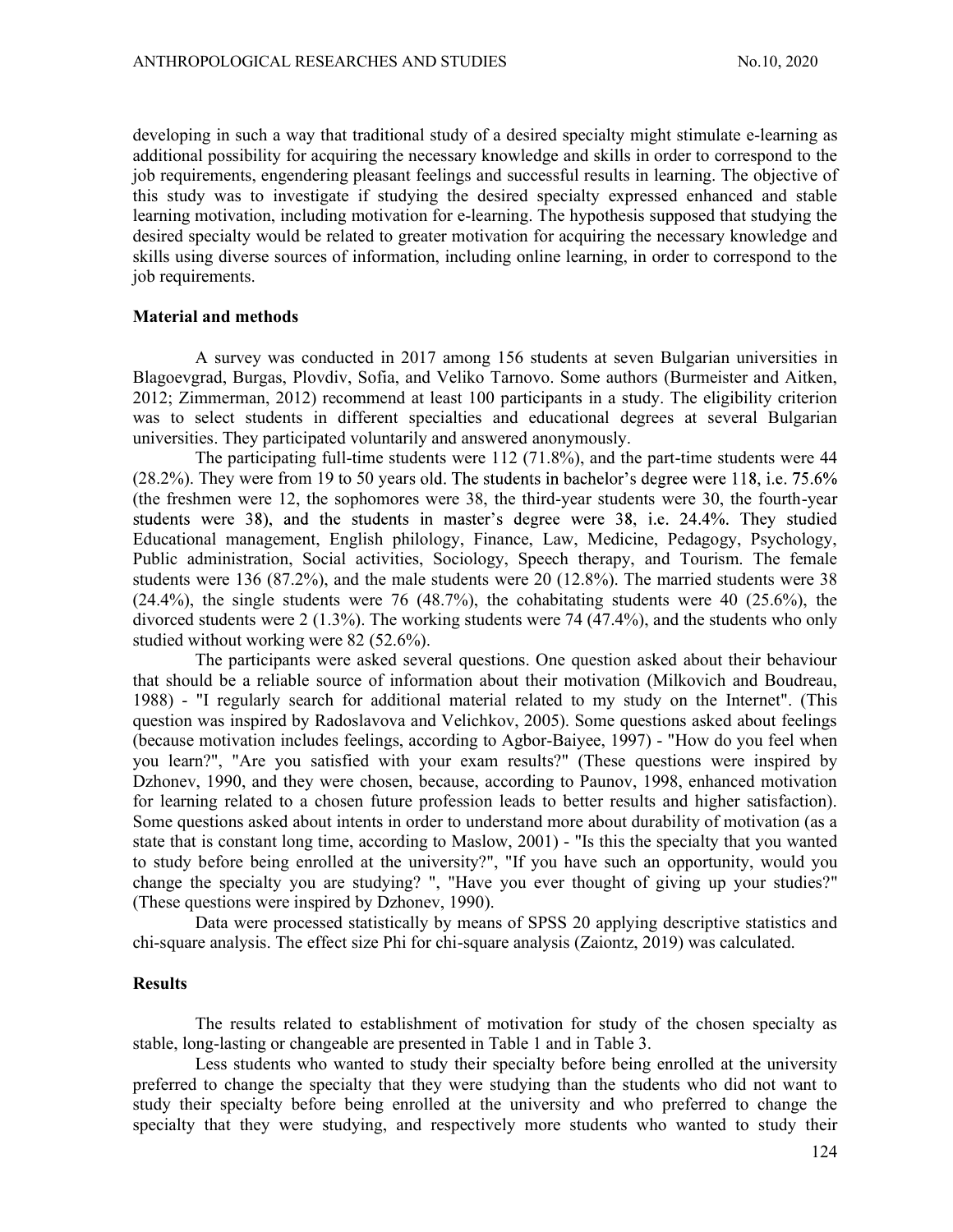developing in such a way that traditional study of a desired specialty might stimulate e-learning as additional possibility for acquiring the necessary knowledge and skills in order to correspond to the job requirements, engendering pleasant feelings and successful results in learning. The objective of this study was to investigate if studying the desired specialty expressed enhanced and stable learning motivation, including motivation for e-learning. The hypothesis supposed that studying the desired specialty would be related to greater motivation for acquiring the necessary knowledge and skills using diverse sources of information, including online learning, in order to correspond to the job requirements.

### Material and methods

A survey was conducted in 2017 among 156 students at seven Bulgarian universities in Blagoevgrad, Burgas, Plovdiv, Sofia, and Veliko Tarnovo. Some authors (Burmeister and Aitken, 2012; Zimmerman, 2012) recommend at least 100 participants in a study. The eligibility criterion was to select students in different specialties and educational degrees at several Bulgarian universities. They participated voluntarily and answered anonymously.

The participating full-time students were 112 (71.8%), and the part-time students were 44  $(28.2\%)$ . They were from 19 to 50 years old. The students in bachelor's degree were 118, i.e. 75.6% (the freshmen were 12, the sophomores were 38, the third-year students were 30, the fourth-year students were 38), and the students in master's degree were 38, i.e. 24.4%. They studied Educational management, English philology, Finance, Law, Medicine, Pedagogy, Psychology, Public administration, Social activities, Sociology, Speech therapy, and Tourism. The female students were 136 (87.2%), and the male students were 20 (12.8%). The married students were 38  $(24.4\%)$ , the single students were 76  $(48.7\%)$ , the cohabitating students were 40  $(25.6\%)$ , the divorced students were 2 (1.3%). The working students were 74 (47.4%), and the students who only studied without working were 82 (52.6%).

The participants were asked several questions. One question asked about their behaviour that should be a reliable source of information about their motivation (Milkovich and Boudreau, 1988) - "I regularly search for additional material related to my study on the Internet". (This question was inspired by Radoslavova and Velichkov, 2005). Some questions asked about feelings (because motivation includes feelings, according to Agbor-Baiyee, 1997) - "How do you feel when you learn?", "Are you satisfied with your exam results?" (These questions were inspired by Dzhonev, 1990, and they were chosen, because, according to Paunov, 1998, enhanced motivation for learning related to a chosen future profession leads to better results and higher satisfaction). Some questions asked about intents in order to understand more about durability of motivation (as a state that is constant long time, according to Maslow, 2001) - "Is this the specialty that you wanted to study before being enrolled at the university?", "If you have such an opportunity, would you change the specialty you are studying? ", "Have you ever thought of giving up your studies?" (These questions were inspired by Dzhonev, 1990).

Data were processed statistically by means of SPSS 20 applying descriptive statistics and chi-square analysis. The effect size Phi for chi-square analysis (Zaiontz, 2019) was calculated.

## Results

The results related to establishment of motivation for study of the chosen specialty as stable, long-lasting or changeable are presented in Table 1 and in Table 3.

Less students who wanted to study their specialty before being enrolled at the university preferred to change the specialty that they were studying than the students who did not want to study their specialty before being enrolled at the university and who preferred to change the specialty that they were studying, and respectively more students who wanted to study their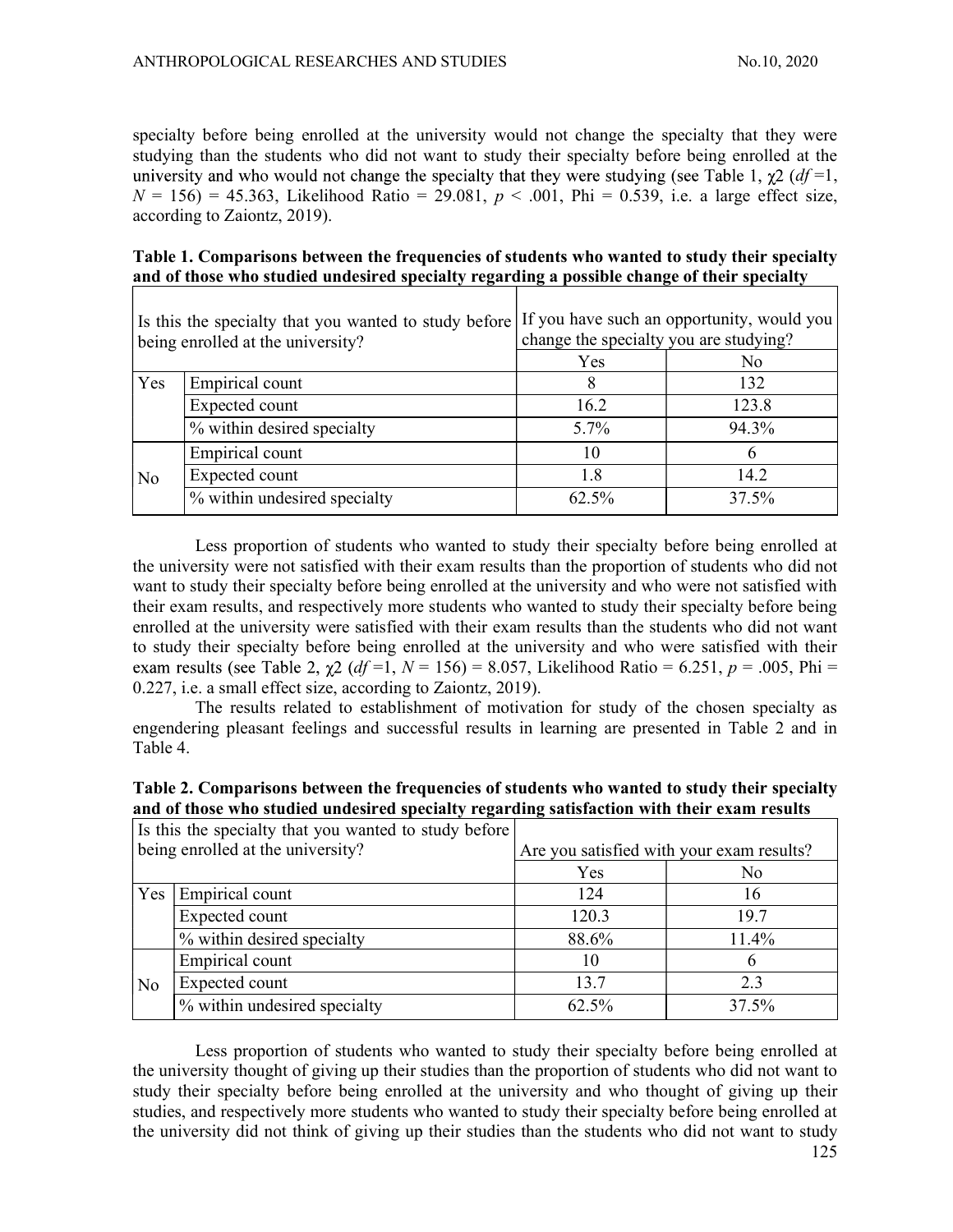specialty before being enrolled at the university would not change the specialty that they were studying than the students who did not want to study their specialty before being enrolled at the university and who would not change the specialty that they were studying (see Table 1,  $\gamma 2 (df=1)$ ,  $N = 156$ ) = 45.363, Likelihood Ratio = 29.081,  $p < .001$ , Phi = 0.539, i.e. a large effect size, according to Zaiontz, 2019).

# Table 1. Comparisons between the frequencies of students who wanted to study their specialty and of those who studied undesired specialty regarding a possible change of their specialty

| Is this the specialty that you wanted to study before If you have such an opportunity, would you<br>being enrolled at the university? |                              | change the specialty you are studying? |       |  |
|---------------------------------------------------------------------------------------------------------------------------------------|------------------------------|----------------------------------------|-------|--|
|                                                                                                                                       |                              | Yes                                    | No    |  |
| Yes                                                                                                                                   | Empirical count              |                                        | 132   |  |
|                                                                                                                                       | Expected count               | 16.2                                   | 123.8 |  |
|                                                                                                                                       | % within desired specialty   | $5.7\%$                                | 94.3% |  |
|                                                                                                                                       | Empirical count              |                                        |       |  |
| N <sub>o</sub>                                                                                                                        | Expected count               |                                        | 14.2  |  |
|                                                                                                                                       | % within undesired specialty | 62.5%                                  | 37.5% |  |

Less proportion of students who wanted to study their specialty before being enrolled at the university were not satisfied with their exam results than the proportion of students who did not want to study their specialty before being enrolled at the university and who were not satisfied with their exam results, and respectively more students who wanted to study their specialty before being enrolled at the university were satisfied with their exam results than the students who did not want to study their specialty before being enrolled at the university and who were satisfied with their exam results (see Table 2,  $\chi$ 2 (df =1, N = 156) = 8.057, Likelihood Ratio = 6.251, p = .005, Phi = 0.227, i.e. a small effect size, according to Zaiontz, 2019).

The results related to establishment of motivation for study of the chosen specialty as engendering pleasant feelings and successful results in learning are presented in Table 2 and in Table 4.

| Table 2. Comparisons between the frequencies of students who wanted to study their specialty |  |
|----------------------------------------------------------------------------------------------|--|
| and of those who studied undesired specialty regarding satisfaction with their exam results  |  |

|                                   | Is this the specialty that you wanted to study before |                                           |       |
|-----------------------------------|-------------------------------------------------------|-------------------------------------------|-------|
| being enrolled at the university? |                                                       | Are you satisfied with your exam results? |       |
|                                   |                                                       | Yes                                       | No    |
|                                   | $\text{Yes}$ Empirical count                          | 124                                       | 16    |
|                                   | Expected count                                        | 120.3                                     | 19.7  |
|                                   | \% within desired specialty                           | 88.6%                                     | 11.4% |
|                                   | Empirical count                                       | 10                                        |       |
| N <sub>o</sub>                    | Expected count                                        | 13.7                                      |       |
|                                   | % within undesired specialty                          | 62.5%                                     | 37.5% |

Less proportion of students who wanted to study their specialty before being enrolled at the university thought of giving up their studies than the proportion of students who did not want to study their specialty before being enrolled at the university and who thought of giving up their studies, and respectively more students who wanted to study their specialty before being enrolled at the university did not think of giving up their studies than the students who did not want to study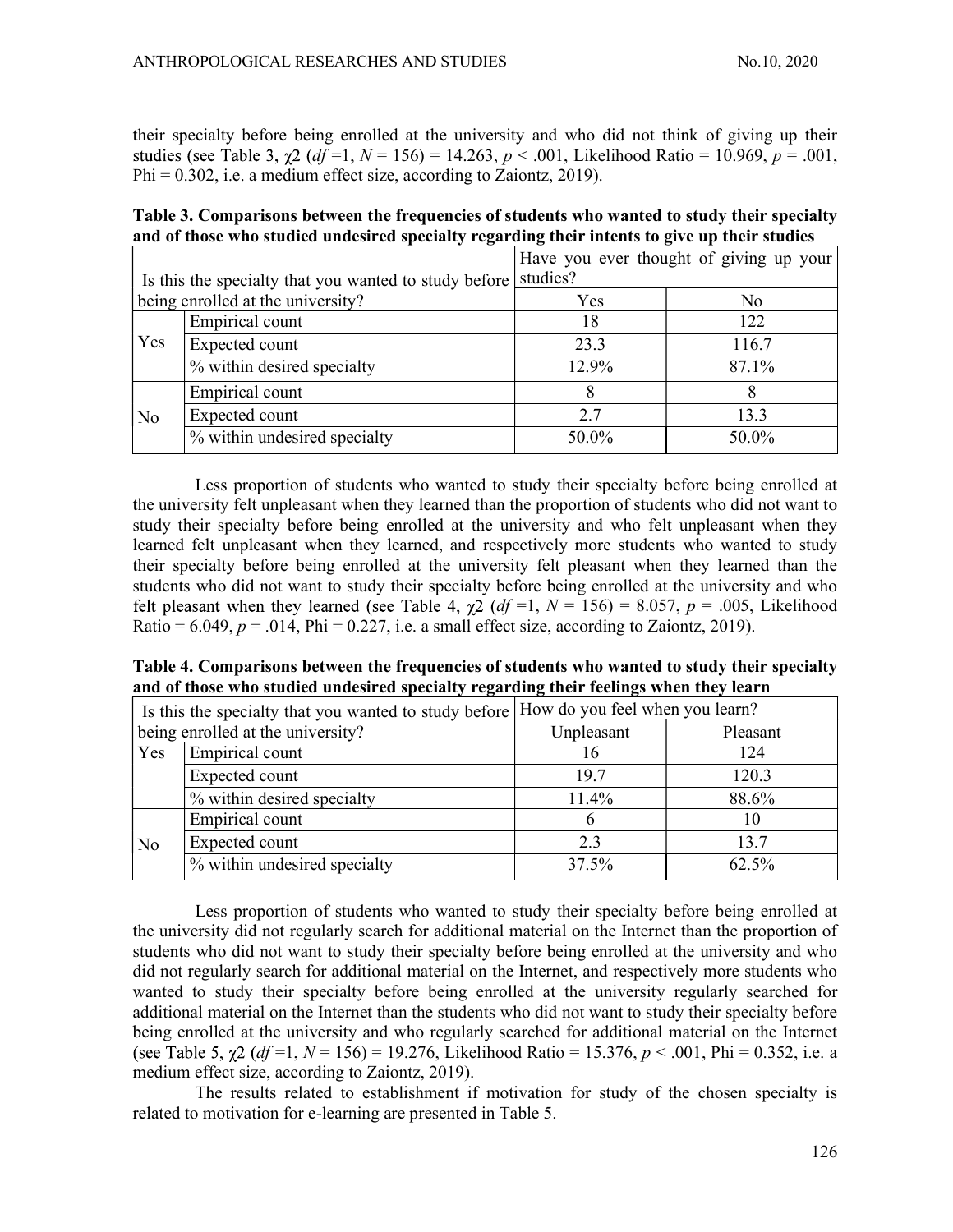their specialty before being enrolled at the university and who did not think of giving up their studies (see Table 3,  $\gamma$ 2 (df =1, N = 156) = 14.263, p < .001, Likelihood Ratio = 10.969, p = .001,  $Phi = 0.302$ , i.e. a medium effect size, according to Zaiontz, 2019).

| Table 3. Comparisons between the frequencies of students who wanted to study their specialty  |  |
|-----------------------------------------------------------------------------------------------|--|
| and of those who studied undesired specialty regarding their intents to give up their studies |  |

|                                                       |                              | Have you ever thought of giving up your |       |  |
|-------------------------------------------------------|------------------------------|-----------------------------------------|-------|--|
| Is this the specialty that you wanted to study before |                              | studies?                                |       |  |
| being enrolled at the university?                     |                              | Yes                                     | No    |  |
| Yes                                                   | Empirical count              | 18                                      | 122   |  |
|                                                       | Expected count               | 23.3                                    | 116.7 |  |
|                                                       | % within desired specialty   | 12.9%                                   | 87.1% |  |
| No                                                    | Empirical count              |                                         |       |  |
|                                                       | Expected count               | 2.7                                     | 13.3  |  |
|                                                       | % within undesired specialty | 50.0%                                   | 50.0% |  |

Less proportion of students who wanted to study their specialty before being enrolled at the university felt unpleasant when they learned than the proportion of students who did not want to study their specialty before being enrolled at the university and who felt unpleasant when they learned felt unpleasant when they learned, and respectively more students who wanted to study their specialty before being enrolled at the university felt pleasant when they learned than the students who did not want to study their specialty before being enrolled at the university and who felt pleasant when they learned (see Table 4,  $\chi$ 2 (df =1, N = 156) = 8.057, p = .005, Likelihood Ratio =  $6.049$ ,  $p = .014$ , Phi = 0.227, i.e. a small effect size, according to Zaiontz, 2019).

Table 4. Comparisons between the frequencies of students who wanted to study their specialty and of those who studied undesired specialty regarding their feelings when they learn

| If Is this the specialty that you wanted to study before $\underline{[How]}$ do you feel when you learn? |                              |            |          |
|----------------------------------------------------------------------------------------------------------|------------------------------|------------|----------|
| being enrolled at the university?                                                                        |                              | Unpleasant | Pleasant |
| Yes                                                                                                      | Empirical count              | 10         | 124      |
|                                                                                                          | Expected count               | 19.7       | 120.3    |
|                                                                                                          | \% within desired specialty  | $11.4\%$   | 88.6%    |
|                                                                                                          | Empirical count              |            |          |
| No                                                                                                       | Expected count               | 2.3        | 13.7     |
|                                                                                                          | % within undesired specialty | 37.5%      | 62.5%    |

Less proportion of students who wanted to study their specialty before being enrolled at the university did not regularly search for additional material on the Internet than the proportion of students who did not want to study their specialty before being enrolled at the university and who did not regularly search for additional material on the Internet, and respectively more students who wanted to study their specialty before being enrolled at the university regularly searched for additional material on the Internet than the students who did not want to study their specialty before being enrolled at the university and who regularly searched for additional material on the Internet (see Table 5,  $\chi$ 2 (df =1, N = 156) = 19.276, Likelihood Ratio = 15.376, p < .001, Phi = 0.352, i.e. a medium effect size, according to Zaiontz, 2019).

The results related to establishment if motivation for study of the chosen specialty is related to motivation for e-learning are presented in Table 5.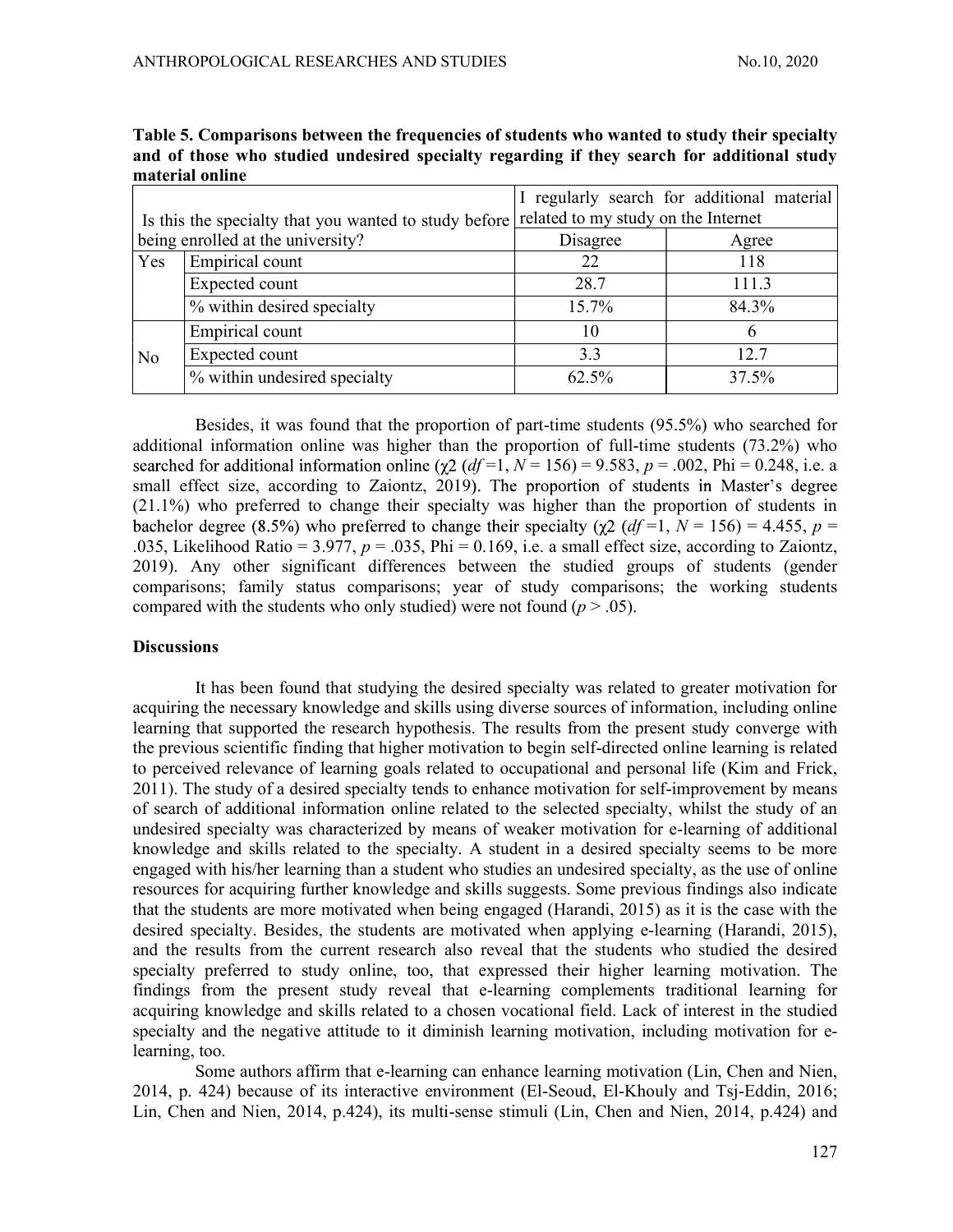|                                                       |                              |                                     | I regularly search for additional material |  |
|-------------------------------------------------------|------------------------------|-------------------------------------|--------------------------------------------|--|
| Is this the specialty that you wanted to study before |                              | related to my study on the Internet |                                            |  |
| being enrolled at the university?                     |                              | Disagree                            | Agree                                      |  |
| Yes                                                   | Empirical count              | 22                                  | 118                                        |  |
|                                                       | Expected count               | 28.7                                | 111.3                                      |  |
|                                                       | % within desired specialty   | 15.7%                               | 84.3%                                      |  |
|                                                       | Empirical count              | 10                                  |                                            |  |
| N <sub>o</sub>                                        | Expected count               | 3.3                                 | 12.7                                       |  |
|                                                       | % within undesired specialty | 62.5%                               | 37.5%                                      |  |

Table 5. Comparisons between the frequencies of students who wanted to study their specialty and of those who studied undesired specialty regarding if they search for additional study material online

Besides, it was found that the proportion of part-time students (95.5%) who searched for additional information online was higher than the proportion of full-time students (73.2%) who searched for additional information online ( $\chi^2$  (df =1, N = 156) = 9.583, p = .002, Phi = 0.248, i.e. a small effect size, according to Zaiontz, 2019). The proportion of students in Master's degree (21.1%) who preferred to change their specialty was higher than the proportion of students in bachelor degree (8.5%) who preferred to change their specialty ( $\gamma$ 2 (df =1, N = 156) = 4.455, p = .035, Likelihood Ratio = 3.977,  $p = 0.035$ , Phi = 0.169, i.e. a small effect size, according to Zaiontz, 2019). Any other significant differences between the studied groups of students (gender comparisons; family status comparisons; year of study comparisons; the working students compared with the students who only studied) were not found ( $p > .05$ ).

### **Discussions**

It has been found that studying the desired specialty was related to greater motivation for acquiring the necessary knowledge and skills using diverse sources of information, including online learning that supported the research hypothesis. The results from the present study converge with the previous scientific finding that higher motivation to begin self-directed online learning is related to perceived relevance of learning goals related to occupational and personal life (Kim and Frick, 2011). The study of a desired specialty tends to enhance motivation for self-improvement by means of search of additional information online related to the selected specialty, whilst the study of an undesired specialty was characterized by means of weaker motivation for e-learning of additional knowledge and skills related to the specialty. A student in a desired specialty seems to be more engaged with his/her learning than a student who studies an undesired specialty, as the use of online resources for acquiring further knowledge and skills suggests. Some previous findings also indicate that the students are more motivated when being engaged (Harandi, 2015) as it is the case with the desired specialty. Besides, the students are motivated when applying e-learning (Harandi, 2015), and the results from the current research also reveal that the students who studied the desired specialty preferred to study online, too, that expressed their higher learning motivation. The findings from the present study reveal that e-learning complements traditional learning for acquiring knowledge and skills related to a chosen vocational field. Lack of interest in the studied specialty and the negative attitude to it diminish learning motivation, including motivation for elearning, too.

Some authors affirm that e-learning can enhance learning motivation (Lin, Chen and Nien, 2014, p. 424) because of its interactive environment (El-Seoud, El-Khouly and Tsj-Eddin, 2016; Lin, Chen and Nien, 2014, p.424), its multi-sense stimuli (Lin, Chen and Nien, 2014, p.424) and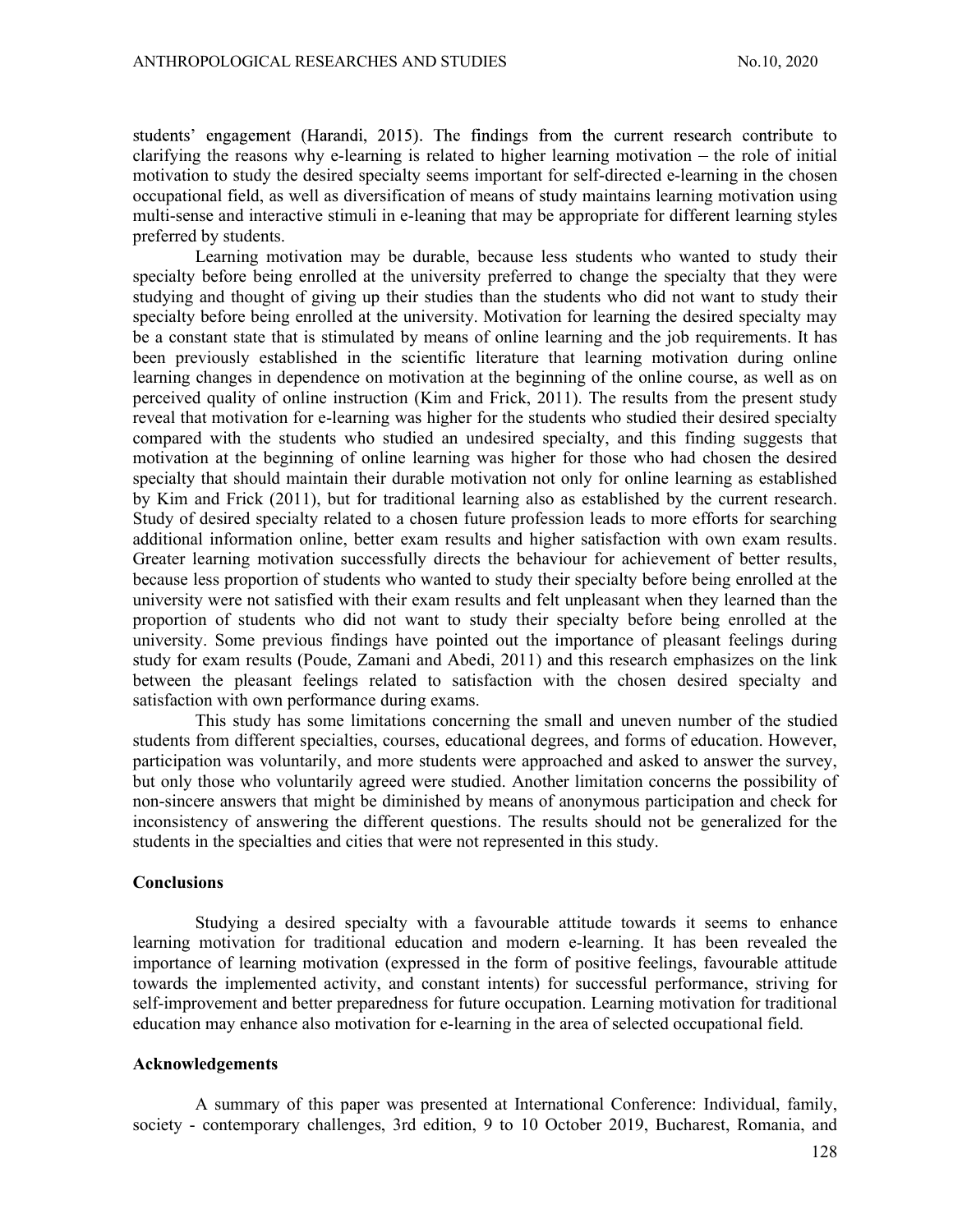students' engagement (Harandi, 2015). The findings from the current research contribute to clarifying the reasons why e-learning is related to higher learning motivation  $-$  the role of initial motivation to study the desired specialty seems important for self-directed e-learning in the chosen occupational field, as well as diversification of means of study maintains learning motivation using multi-sense and interactive stimuli in e-leaning that may be appropriate for different learning styles preferred by students.

Learning motivation may be durable, because less students who wanted to study their specialty before being enrolled at the university preferred to change the specialty that they were studying and thought of giving up their studies than the students who did not want to study their specialty before being enrolled at the university. Motivation for learning the desired specialty may be a constant state that is stimulated by means of online learning and the job requirements. It has been previously established in the scientific literature that learning motivation during online learning changes in dependence on motivation at the beginning of the online course, as well as on perceived quality of online instruction (Kim and Frick, 2011). The results from the present study reveal that motivation for e-learning was higher for the students who studied their desired specialty compared with the students who studied an undesired specialty, and this finding suggests that motivation at the beginning of online learning was higher for those who had chosen the desired specialty that should maintain their durable motivation not only for online learning as established by Kim and Frick (2011), but for traditional learning also as established by the current research. Study of desired specialty related to a chosen future profession leads to more efforts for searching additional information online, better exam results and higher satisfaction with own exam results. Greater learning motivation successfully directs the behaviour for achievement of better results, because less proportion of students who wanted to study their specialty before being enrolled at the university were not satisfied with their exam results and felt unpleasant when they learned than the proportion of students who did not want to study their specialty before being enrolled at the university. Some previous findings have pointed out the importance of pleasant feelings during study for exam results (Poude, Zamani and Abedi, 2011) and this research emphasizes on the link between the pleasant feelings related to satisfaction with the chosen desired specialty and satisfaction with own performance during exams.

This study has some limitations concerning the small and uneven number of the studied students from different specialties, courses, educational degrees, and forms of education. However, participation was voluntarily, and more students were approached and asked to answer the survey, but only those who voluntarily agreed were studied. Another limitation concerns the possibility of non-sincere answers that might be diminished by means of anonymous participation and check for inconsistency of answering the different questions. The results should not be generalized for the students in the specialties and cities that were not represented in this study.

### Conclusions

Studying a desired specialty with a favourable attitude towards it seems to enhance learning motivation for traditional education and modern e-learning. It has been revealed the importance of learning motivation (expressed in the form of positive feelings, favourable attitude towards the implemented activity, and constant intents) for successful performance, striving for self-improvement and better preparedness for future occupation. Learning motivation for traditional education may enhance also motivation for e-learning in the area of selected occupational field.

#### Acknowledgements

A summary of this paper was presented at International Conference: Individual, family, society - contemporary challenges, 3rd edition, 9 to 10 October 2019, Bucharest, Romania, and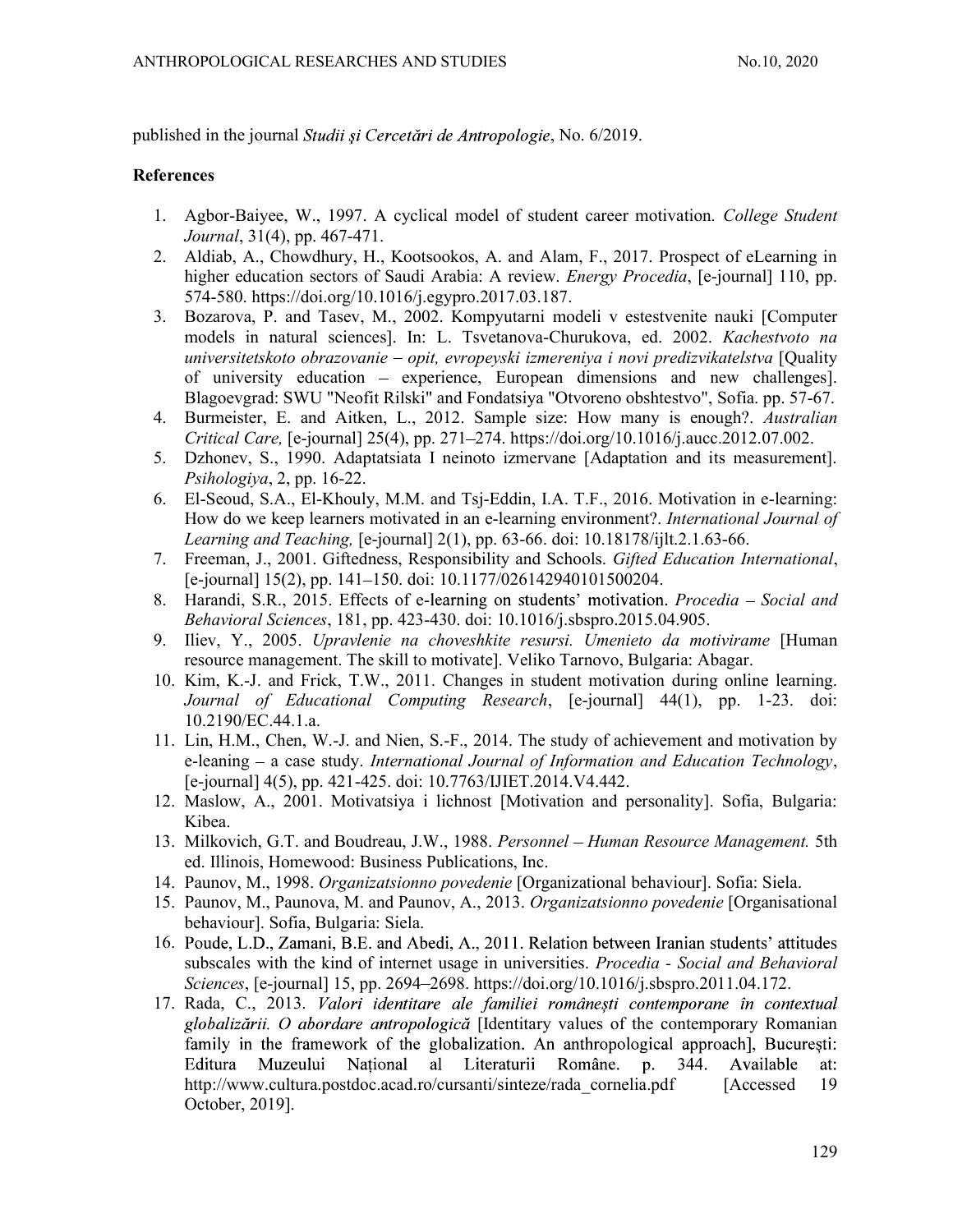published in the journal Studii și Cercetări de Antropologie, No. 6/2019.

# **References**

- 1. Agbor-Baiyee, W., 1997. A cyclical model of student career motivation. College Student Journal, 31(4), pp. 467-471.
- 2. Aldiab, A., Chowdhury, H., Kootsookos, A. and Alam, F., 2017. Prospect of eLearning in higher education sectors of Saudi Arabia: A review. *Energy Procedia*, [e-journal] 110, pp. 574-580. https://doi.org/10.1016/j.egypro.2017.03.187.
- 3. Bozarova, P. and Tasev, M., 2002. Kompyutarni modeli v estestvenite nauki [Computer models in natural sciences]. In: L. Tsvetanova-Churukova, ed. 2002. Kachestvoto na universitetskoto obrazovanie – opit, evropeyski izmereniya i novi predizvikatelstva [Quality of university education – experience, European dimensions and new challenges]. Blagoevgrad: SWU "Neofit Rilski" and Fondatsiya "Otvoreno obshtestvo", Sofia. pp. 57-67.
- 4. Burmeister, E. and Aitken, L., 2012. Sample size: How many is enough?. Australian  $Critical Care, [e-journal]$   $25(4), pp.$   $271–274.$  https://doi.org/10.1016/j.aucc.2012.07.002.
- 5. Dzhonev, S., 1990. Adaptatsiata I neinoto izmervane [Adaptation and its measurement]. Psihologiya, 2, pp. 16-22.
- 6. El-Seoud, S.A., El-Khouly, M.M. and Tsj-Eddin, I.A. T.F., 2016. Motivation in e-learning: How do we keep learners motivated in an e-learning environment?. International Journal of Learning and Teaching, [e-journal] 2(1), pp. 63-66. doi: 10.18178/ijlt.2.1.63-66.
- 7. Freeman, J., 2001. Giftedness, Responsibility and Schools. Gifted Education International, [e-journal] 15(2), pp. 141 150. doi: 10.1177/026142940101500204.
- 8. Harandi, S.R., 2015. Effects of e-learning on students' motivation. Procedia Social and Behavioral Sciences, 181, pp. 423-430. doi: 10.1016/j.sbspro.2015.04.905.
- 9. Iliev, Y., 2005. Upravlenie na choveshkite resursi. Umenieto da motivirame [Human resource management. The skill to motivate]. Veliko Tarnovo, Bulgaria: Abagar.
- 10. Kim, K.-J. and Frick, T.W., 2011. Changes in student motivation during online learning. Journal of Educational Computing Research, [e-journal] 44(1), pp. 1-23. doi: 10.2190/EC.44.1.a.
- 11. Lin, H.M., Chen, W.-J. and Nien, S.-F., 2014. The study of achievement and motivation by e-leaning – a case study. *International Journal of Information and Education Technology*, [e-journal] 4(5), pp. 421-425. doi: 10.7763/IJIET.2014.V4.442.
- 12. Maslow, A., 2001. Motivatsiya i lichnost [Motivation and personality]. Sofia, Bulgaria: Kibea.
- 13. Milkovich, G.T. and Boudreau, J.W., 1988. Personnel Human Resource Management. 5th ed. Illinois, Homewood: Business Publications, Inc.
- 14. Paunov, M., 1998. Organizatsionno povedenie [Organizational behaviour]. Sofia: Siela.
- 15. Paunov, M., Paunova, M. and Paunov, A., 2013. Organizatsionno povedenie [Organisational behaviour]. Sofia, Bulgaria: Siela.
- 16. Poude, L.D., Zamani, B.E. and Abedi, A., 2011. Relation between Iranian students' attitudes subscales with the kind of internet usage in universities. *Procedia - Social and Behavioral* Sciences, [e-journal] 15, pp. 2694–2698. https://doi.org/10.1016/j.sbspro.2011.04.172.
- 17. Rada, C., 2013. Valori identitare ale familiei românești contemporane în contextual globalizării. O abordare antropologică [Identitary values of the contemporary Romanian family in the framework of the globalization. An anthropological approach], Bucuresti: Editura Muzeului National al Literaturii Române. p. 344. Available at: http://www.cultura.postdoc.acad.ro/cursanti/sinteze/rada\_cornelia.pdf [Accessed 19 October, 2019].